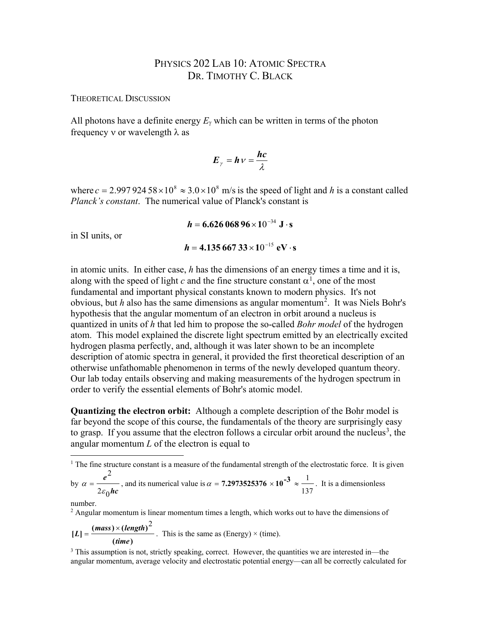## PHYSICS 202 LAB 10: ATOMIC SPECTRA DR. TIMOTHY C. BLACK

THEORETICAL DISCUSSION

All photons have a definite energy  $E_\gamma$  which can be written in terms of the photon frequency v or wavelength  $\lambda$  as

$$
E_{\gamma} = h \, v = \frac{hc}{\lambda}
$$

where  $c = 2.99792458 \times 10^8 \approx 3.0 \times 10^8$  m/s is the speed of light and *h* is a constant called *Planck's constant*. The numerical value of Planck's constant is

> $h = 6.62606896 \times 10^{-34} \text{ J} \cdot \text{s}$  $h = 4.13566733 \times 10^{-15} \text{ eV} \cdot \text{s}$

in SI units, or

in atomic units. In either case, *h* has the dimensions of an energy times a time and it is, along with the speed of light  $c$  and the fine structure constant  $\alpha^1$  $\alpha^1$ , one of the most fundamental and important physical constants known to modern physics. It's not obvious, but *h* also has the same dimensions as angular momentum[2](#page-0-1) . It was Niels Bohr's hypothesis that the angular momentum of an electron in orbit around a nucleus is quantized in units of *h* that led him to propose the so-called *Bohr model* of the hydrogen atom. This model explained the discrete light spectrum emitted by an electrically excited hydrogen plasma perfectly, and, although it was later shown to be an incomplete description of atomic spectra in general, it provided the first theoretical description of an otherwise unfathomable phenomenon in terms of the newly developed quantum theory. Our lab today entails observing and making measurements of the hydrogen spectrum in order to verify the essential elements of Bohr's atomic model.

**Quantizing the electron orbit:** Although a complete description of the Bohr model is far beyond the scope of this course, the fundamentals of the theory are surprisingly easy to grasp. If you assume that the electron follows a circular orbit around the nucleus<sup>[3](#page-0-2)</sup>, the angular momentum *L* of the electron is equal to

number.

<span id="page-0-1"></span> $<sup>2</sup>$  Angular momentum is linear momentum times a length, which works out to have the dimensions of</sup>

$$
[L] = \frac{(mass) \times (length)^2}{(time)}
$$
. This is the same as (Energy) × (time).

<span id="page-0-2"></span><sup>3</sup> This assumption is not, strictly speaking, correct. However, the quantities we are interested in—the angular momentum, average velocity and electrostatic potential energy—can all be correctly calculated for

<span id="page-0-0"></span><sup>&</sup>lt;sup>1</sup> The fine structure constant is a measure of the fundamental strength of the electrostatic force. It is given by *hc e*  $2\varepsilon$ <sub>0</sub> 2  $\alpha = \frac{c}{2\varepsilon_0 hc}$ , and its numerical value is 137  $\alpha$  = **7.2973525376**  $\times$  10<sup>-3</sup>  $\approx \frac{1}{\alpha}$ . It is a dimensionless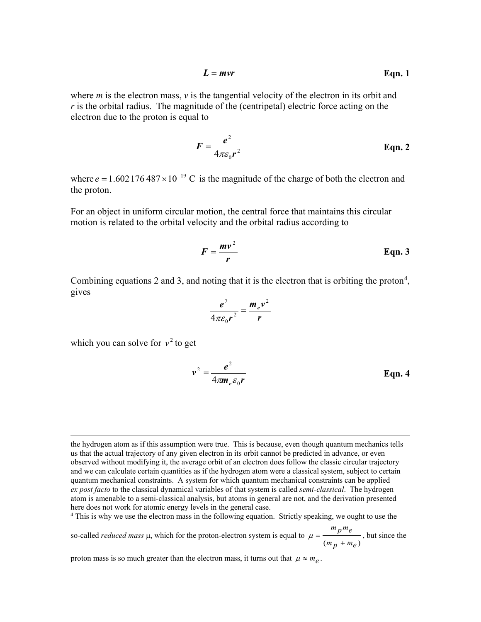$$
L = mvr
$$
 Eqn. 1

where *m* is the electron mass,  $\nu$  is the tangential velocity of the electron in its orbit and *r* is the orbital radius. The magnitude of the (centripetal) electric force acting on the electron due to the proton is equal to

$$
F = \frac{e^2}{4\pi\varepsilon_0 r^2}
$$
 Eqn. 2

where  $e = 1.602176487 \times 10^{-19}$  C is the magnitude of the charge of both the electron and the proton.

For an object in uniform circular motion, the central force that maintains this circular motion is related to the orbital velocity and the orbital radius according to

$$
F = \frac{mv^2}{r}
$$
 Eqn. 3

Combining equations 2 and 3, and noting that it is the electron that is orbiting the proton<sup>[4](#page-1-0)</sup>, gives

$$
\frac{e^2}{4\pi\varepsilon_0 r^2} = \frac{m_e v^2}{r}
$$

which you can solve for  $v^2$  to get

$$
v^2 = \frac{e^2}{4\pi m_e \varepsilon_0 r}
$$
 Eqn. 4

<span id="page-1-0"></span><sup>4</sup> This is why we use the electron mass in the following equation. Strictly speaking, we ought to use the

so-called *reduced mass* µ, which for the proton-electron system is equal to  $(m_p + m_e)$ *m pme* +  $\mu = \frac{P}{r}$ , but since the

proton mass is so much greater than the electron mass, it turns out that  $\mu \approx m_e$ .

the hydrogen atom as if this assumption were true. This is because, even though quantum mechanics tells us that the actual trajectory of any given electron in its orbit cannot be predicted in advance, or even observed without modifying it, the average orbit of an electron does follow the classic circular trajectory and we can calculate certain quantities as if the hydrogen atom were a classical system, subject to certain quantum mechanical constraints. A system for which quantum mechanical constraints can be applied *ex post facto* to the classical dynamical variables of that system is called *semi-classical*. The hydrogen atom is amenable to a semi-classical analysis, but atoms in general are not, and the derivation presented here does not work for atomic energy levels in the general case.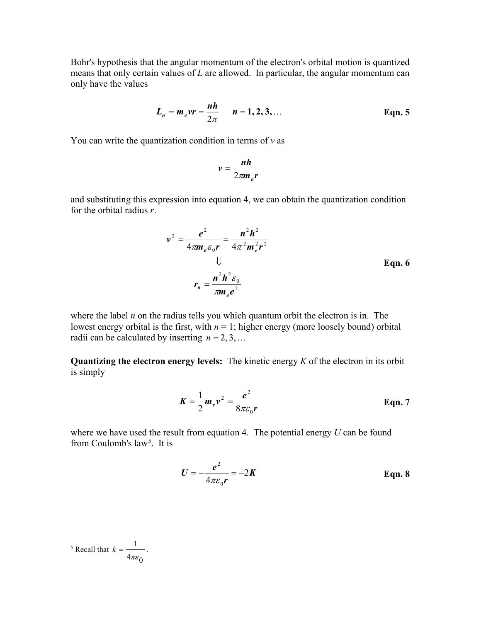Bohr's hypothesis that the angular momentum of the electron's orbital motion is quantized means that only certain values of *L* are allowed. In particular, the angular momentum can only have the values

$$
L_n = m_e v r = \frac{nh}{2\pi}
$$
  $n = 1, 2, 3, ...$  Eqn. 5

You can write the quantization condition in terms of *v* as

$$
v=\frac{nh}{2\pi m_e r}
$$

and substituting this expression into equation 4, we can obtain the quantization condition for the orbital radius *r*.

$$
v^{2} = \frac{e^{2}}{4\pi m_{e} \varepsilon_{0} r} = \frac{n^{2} h^{2}}{4\pi^{2} m_{e}^{2} r^{2}}
$$
  
\n
$$
\downarrow \qquad \qquad \text{Eqn. 6}
$$
  
\n
$$
r_{n} = \frac{n^{2} h^{2} \varepsilon_{0}}{\pi m_{e} e^{2}}
$$

where the label *n* on the radius tells you which quantum orbit the electron is in. The lowest energy orbital is the first, with  $n = 1$ ; higher energy (more loosely bound) orbital radii can be calculated by inserting  $n = 2, 3, \dots$ 

**Quantizing the electron energy levels:** The kinetic energy *K* of the electron in its orbit is simply

$$
K = \frac{1}{2} m_e v^2 = \frac{e^2}{8\pi \varepsilon_0 r}
$$
 Eqn. 7

where we have used the result from equation 4. The potential energy *U* can be found from Coulomb's law<sup>[5](#page-2-0)</sup>. It is

$$
U = -\frac{e^2}{4\pi\varepsilon_0 r} = -2K
$$
 Eqn. 8

<span id="page-2-0"></span>
$$
{}^{5} \text{ Recall that } k = \frac{1}{4\pi\varepsilon_0}.
$$

 $\overline{a}$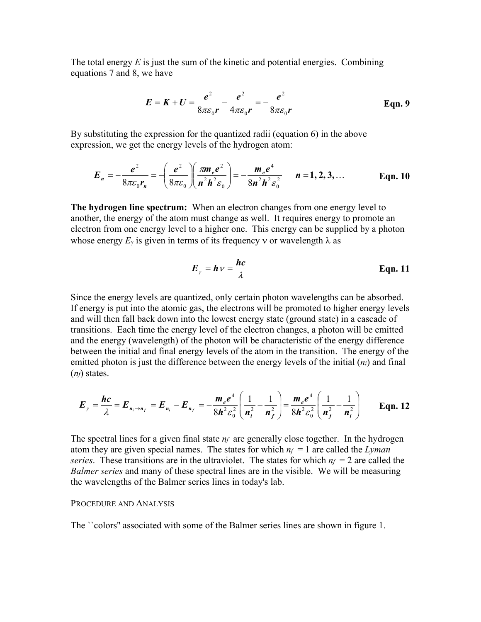The total energy *E* is just the sum of the kinetic and potential energies. Combining equations 7 and 8, we have

$$
E = K + U = \frac{e^{2}}{8\pi\varepsilon_{0}r} - \frac{e^{2}}{4\pi\varepsilon_{0}r} = -\frac{e^{2}}{8\pi\varepsilon_{0}r}
$$
 Eqn. 9

By substituting the expression for the quantized radii (equation 6) in the above expression, we get the energy levels of the hydrogen atom:

$$
E_n = -\frac{e^2}{8\pi\varepsilon_0 r_n} = -\left(\frac{e^2}{8\pi\varepsilon_0}\right)\left(\frac{\pi m_e e^2}{n^2 h^2 \varepsilon_0}\right) = -\frac{m_e e^4}{8n^2 h^2 \varepsilon_0^2} \qquad n = 1, 2, 3, ... \qquad \text{Eqn. 10}
$$

**The hydrogen line spectrum:** When an electron changes from one energy level to another, the energy of the atom must change as well. It requires energy to promote an electron from one energy level to a higher one. This energy can be supplied by a photon whose energy  $E_\gamma$  is given in terms of its frequency v or wavelength  $\lambda$  as

$$
E_{\gamma} = h \nu = \frac{hc}{\lambda}
$$
 Eqn. 11

Since the energy levels are quantized, only certain photon wavelengths can be absorbed. If energy is put into the atomic gas, the electrons will be promoted to higher energy levels and will then fall back down into the lowest energy state (ground state) in a cascade of transitions. Each time the energy level of the electron changes, a photon will be emitted and the energy (wavelength) of the photon will be characteristic of the energy difference between the initial and final energy levels of the atom in the transition. The energy of the emitted photon is just the difference between the energy levels of the initial (*ni*) and final (*nf*) states.

$$
E_{\gamma} = \frac{hc}{\lambda} = E_{n_i \to n_f} = E_{n_i} - E_{n_f} = -\frac{m_e e^4}{8h^2 \varepsilon_0^2} \left( \frac{1}{n_i^2} - \frac{1}{n_f^2} \right) = \frac{m_e e^4}{8h^2 \varepsilon_0^2} \left( \frac{1}{n_f^2} - \frac{1}{n_i^2} \right) \qquad \text{Eqn. 12}
$$

The spectral lines for a given final state *nf* are generally close together. In the hydrogen atom they are given special names. The states for which  $n_f = 1$  are called the *Lyman series*. These transitions are in the ultraviolet. The states for which  $n_f = 2$  are called the *Balmer series* and many of these spectral lines are in the visible. We will be measuring the wavelengths of the Balmer series lines in today's lab.

## PROCEDURE AND ANALYSIS

The ``colors'' associated with some of the Balmer series lines are shown in figure 1.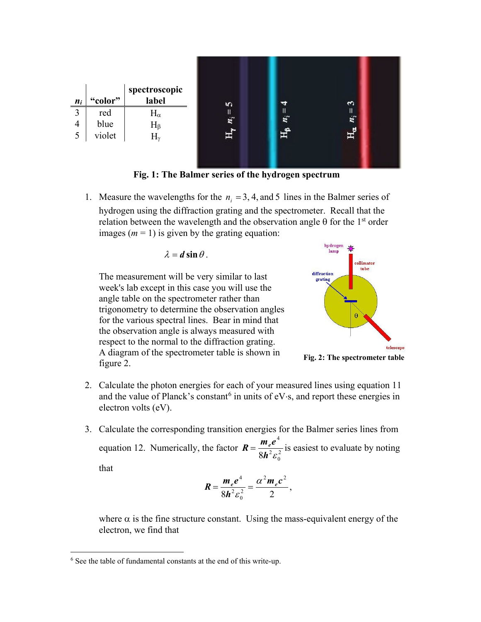

**Fig. 1: The Balmer series of the hydrogen spectrum**

1. Measure the wavelengths for the  $n_i = 3, 4$ , and 5 lines in the Balmer series of hydrogen using the diffraction grating and the spectrometer. Recall that the relation between the wavelength and the observation angle  $\theta$  for the 1<sup>st</sup> order images  $(m = 1)$  is given by the grating equation:

$$
\lambda = d \sin \theta.
$$

The measurement will be very similar to last week's lab except in this case you will use the angle table on the spectrometer rather than trigonometry to determine the observation angles for the various spectral lines. Bear in mind that the observation angle is always measured with respect to the normal to the diffraction grating. A diagram of the spectrometer table is shown in figure 2.



**Fig. 2: The spectrometer table**

- 2. Calculate the photon energies for each of your measured lines using equation 11 and the value of Planck's constant<sup>[6](#page-4-0)</sup> in units of eV⋅s, and report these energies in electron volts (eV).
- 3. Calculate the corresponding transition energies for the Balmer series lines from equation 12. Numerically, the factor  $R = \frac{me^2}{8h^2c^2}$  $\boldsymbol{0}$ 2 4  $8$ *h*<sup>2</sup>ε  $R = \frac{m_e e^4}{a^2 + r^2}$  is easiest to evaluate by noting

that

$$
R = \frac{m_e e^4}{8h^2 \varepsilon_0^2} = \frac{\alpha^2 m_e c^2}{2},
$$

where  $\alpha$  is the fine structure constant. Using the mass-equivalent energy of the electron, we find that

<span id="page-4-0"></span> <sup>6</sup> See the table of fundamental constants at the end of this write-up.